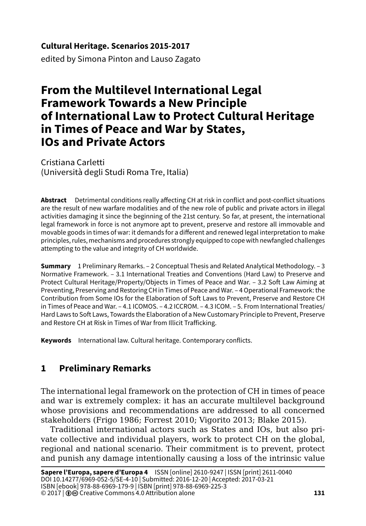#### **Cultural Heritage. Scenarios 2015-2017**

edited by Simona Pinton and Lauso Zagato

# **From the Multilevel International Legal Framework Towards a New Principle of International Law to Protect Cultural Heritage in Times of Peace and War by States, IOs and Private Actors**

Cristiana Carletti (Università degli Studi Roma Tre, Italia)

**Abstract** Detrimental conditions really affecting CH at risk in conflict and post-conflict situations are the result of new warfare modalities and of the new role of public and private actors in illegal activities damaging it since the beginning of the 21st century. So far, at present, the international legal framework in force is not anymore apt to prevent, preserve and restore all immovable and movable goods in times of war: it demands for a different and renewed legal interpretation to make principles, rules, mechanisms and procedures strongly equipped to cope with newfangled challenges attempting to the value and integrity of CH worldwide.

**Summary** 1 Preliminary Remarks. – 2 Conceptual Thesis and Related Analytical Methodology. – 3 Normative Framework. – 3.1 International Treaties and Conventions (Hard Law) to Preserve and Protect Cultural Heritage/Property/Objects in Times of Peace and War. – 3.2 Soft Law Aiming at Preventing, Preserving and Restoring CH in Times of Peace and War. – 4 Operational Framework: the Contribution from Some IOs for the Elaboration of Soft Laws to Prevent, Preserve and Restore CH in Times of Peace and War. – 4.1 ICOMOS. – 4.2 ICCROM. – 4.3 ICOM. – 5. From International Treaties/ Hard Laws to Soft Laws, Towards the Elaboration of a New Customary Principle to Prevent, Preserve and Restore CH at Risk in Times of War from Illicit Trafficking.

**Keywords** International law. Cultural heritage. Contemporary conflicts.

## **1 Preliminary Remarks**

The international legal framework on the protection of CH in times of peace and war is extremely complex: it has an accurate multilevel background whose provisions and recommendations are addressed to all concerned stakeholders (Frigo 1986; Forrest 2010; Vigorito 2013; Blake 2015).

Traditional international actors such as States and IOs, but also private collective and individual players, work to protect CH on the global, regional and national scenario. Their commitment is to prevent, protect and punish any damage intentionally causing a loss of the intrinsic value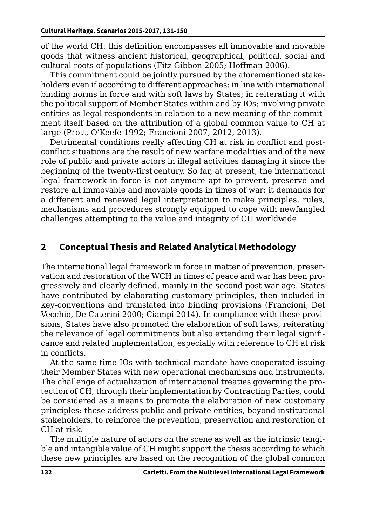of the world CH: this definition encompasses all immovable and movable goods that witness ancient historical, geographical, political, social and cultural roots of populations (Fitz Gibbon 2005; Hoffman 2006).

This commitment could be jointly pursued by the aforementioned stakeholders even if according to different approaches: in line with international binding norms in force and with soft laws by States; in reiterating it with the political support of Member States within and by IOs; involving private entities as legal respondents in relation to a new meaning of the commitment itself based on the attribution of a global common value to CH at large (Prott, O'Keefe 1992; Francioni 2007, 2012, 2013).

Detrimental conditions really affecting CH at risk in conflict and postconflict situations are the result of new warfare modalities and of the new role of public and private actors in illegal activities damaging it since the beginning of the twenty-first century. So far, at present, the international legal framework in force is not anymore apt to prevent, preserve and restore all immovable and movable goods in times of war: it demands for a different and renewed legal interpretation to make principles, rules, mechanisms and procedures strongly equipped to cope with newfangled challenges attempting to the value and integrity of CH worldwide.

#### **2 Conceptual Thesis and Related Analytical Methodology**

The international legal framework in force in matter of prevention, preservation and restoration of the WCH in times of peace and war has been progressively and clearly defined, mainly in the second-post war age. States have contributed by elaborating customary principles, then included in key-conventions and translated into binding provisions (Francioni, Del Vecchio, De Caterini 2000; Ciampi 2014). In compliance with these provisions, States have also promoted the elaboration of soft laws, reiterating the relevance of legal commitments but also extending their legal significance and related implementation, especially with reference to CH at risk in conflicts.

At the same time IOs with technical mandate have cooperated issuing their Member States with new operational mechanisms and instruments. The challenge of actualization of international treaties governing the protection of CH, through their implementation by Contracting Parties, could be considered as a means to promote the elaboration of new customary principles: these address public and private entities, beyond institutional stakeholders, to reinforce the prevention, preservation and restoration of CH at risk.

The multiple nature of actors on the scene as well as the intrinsic tangible and intangible value of CH might support the thesis according to which these new principles are based on the recognition of the global common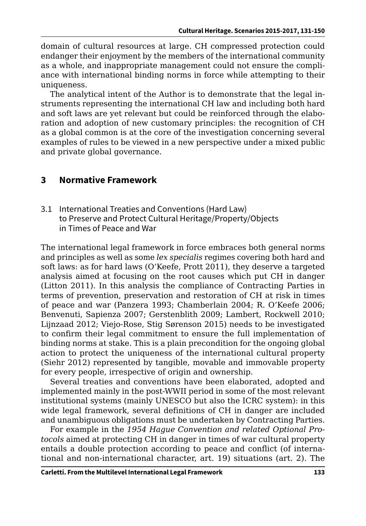domain of cultural resources at large. CH compressed protection could endanger their enjoyment by the members of the international community as a whole, and inappropriate management could not ensure the compliance with international binding norms in force while attempting to their uniqueness.

The analytical intent of the Author is to demonstrate that the legal instruments representing the international CH law and including both hard and soft laws are yet relevant but could be reinforced through the elaboration and adoption of new customary principles: the recognition of CH as a global common is at the core of the investigation concerning several examples of rules to be viewed in a new perspective under a mixed public and private global governance.

### **3 Normative Framework**

3.1 International Treaties and Conventions (Hard Law) to Preserve and Protect Cultural Heritage/Property/Objects in Times of Peace and War

The international legal framework in force embraces both general norms and principles as well as some *lex specialis* regimes covering both hard and soft laws: as for hard laws (O'Keefe, Prott 2011), they deserve a targeted analysis aimed at focusing on the root causes which put CH in danger (Litton 2011). In this analysis the compliance of Contracting Parties in terms of prevention, preservation and restoration of CH at risk in times of peace and war (Panzera 1993; Chamberlain 2004; R. O'Keefe 2006; Benvenuti, Sapienza 2007; Gerstenblith 2009; Lambert, Rockwell 2010; Lijnzaad 2012; Viejo-Rose, Stig Sørenson 2015) needs to be investigated to confirm their legal commitment to ensure the full implementation of binding norms at stake. This is a plain precondition for the ongoing global action to protect the uniqueness of the international cultural property (Siehr 2012) represented by tangible, movable and immovable property for every people, irrespective of origin and ownership.

Several treaties and conventions have been elaborated, adopted and implemented mainly in the post-WWII period in some of the most relevant institutional systems (mainly UNESCO but also the ICRC system): in this wide legal framework, several definitions of CH in danger are included and unambiguous obligations must be undertaken by Contracting Parties.

For example in the *1954 Hague Convention and related Optional Protocols* aimed at protecting CH in danger in times of war cultural property entails a double protection according to peace and conflict (of international and non-international character, art. 19) situations (art. 2). The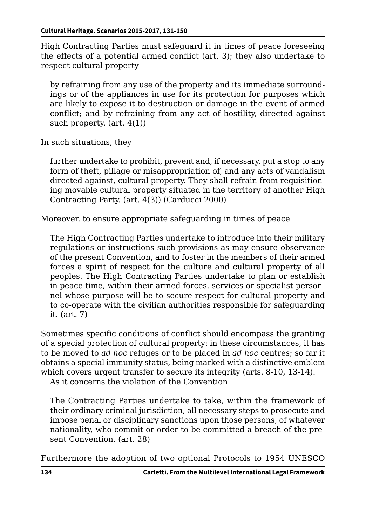High Contracting Parties must safeguard it in times of peace foreseeing the effects of a potential armed conflict (art. 3); they also undertake to respect cultural property

by refraining from any use of the property and its immediate surroundings or of the appliances in use for its protection for purposes which are likely to expose it to destruction or damage in the event of armed conflict; and by refraining from any act of hostility, directed against such property. (art. 4(1))

In such situations, they

further undertake to prohibit, prevent and, if necessary, put a stop to any form of theft, pillage or misappropriation of, and any acts of vandalism directed against, cultural property. They shall refrain from requisitioning movable cultural property situated in the territory of another High Contracting Party. (art. 4(3)) (Carducci 2000)

Moreover, to ensure appropriate safeguarding in times of peace

The High Contracting Parties undertake to introduce into their military regulations or instructions such provisions as may ensure observance of the present Convention, and to foster in the members of their armed forces a spirit of respect for the culture and cultural property of all peoples. The High Contracting Parties undertake to plan or establish in peace-time, within their armed forces, services or specialist personnel whose purpose will be to secure respect for cultural property and to co-operate with the civilian authorities responsible for safeguarding it. (art. 7)

Sometimes specific conditions of conflict should encompass the granting of a special protection of cultural property: in these circumstances, it has to be moved to *ad hoc* refuges or to be placed in *ad hoc* centres; so far it obtains a special immunity status, being marked with a distinctive emblem which covers urgent transfer to secure its integrity (arts. 8-10, 13-14).

As it concerns the violation of the Convention

The Contracting Parties undertake to take, within the framework of their ordinary criminal jurisdiction, all necessary steps to prosecute and impose penal or disciplinary sanctions upon those persons, of whatever nationality, who commit or order to be committed a breach of the present Convention. (art. 28)

Furthermore the adoption of two optional Protocols to 1954 UNESCO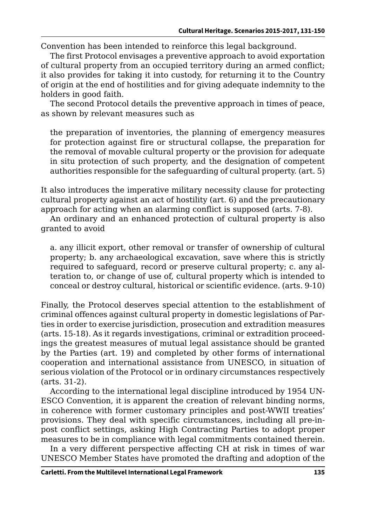Convention has been intended to reinforce this legal background.

The first Protocol envisages a preventive approach to avoid exportation of cultural property from an occupied territory during an armed conflict; it also provides for taking it into custody, for returning it to the Country of origin at the end of hostilities and for giving adequate indemnity to the holders in good faith.

The second Protocol details the preventive approach in times of peace, as shown by relevant measures such as

the preparation of inventories, the planning of emergency measures for protection against fire or structural collapse, the preparation for the removal of movable cultural property or the provision for adequate in situ protection of such property, and the designation of competent authorities responsible for the safeguarding of cultural property. (art. 5)

It also introduces the imperative military necessity clause for protecting cultural property against an act of hostility (art. 6) and the precautionary approach for acting when an alarming conflict is supposed (arts. 7-8).

An ordinary and an enhanced protection of cultural property is also granted to avoid

a. any illicit export, other removal or transfer of ownership of cultural property; b. any archaeological excavation, save where this is strictly required to safeguard, record or preserve cultural property; c. any alteration to, or change of use of, cultural property which is intended to conceal or destroy cultural, historical or scientific evidence. (arts. 9-10)

Finally, the Protocol deserves special attention to the establishment of criminal offences against cultural property in domestic legislations of Parties in order to exercise jurisdiction, prosecution and extradition measures (arts. 15-18). As it regards investigations, criminal or extradition proceedings the greatest measures of mutual legal assistance should be granted by the Parties (art. 19) and completed by other forms of international cooperation and international assistance from UNESCO, in situation of serious violation of the Protocol or in ordinary circumstances respectively (arts. 31-2).

According to the international legal discipline introduced by 1954 UN-ESCO Convention, it is apparent the creation of relevant binding norms, in coherence with former customary principles and post-WWII treaties' provisions. They deal with specific circumstances, including all pre-inpost conflict settings, asking High Contracting Parties to adopt proper measures to be in compliance with legal commitments contained therein.

In a very different perspective affecting CH at risk in times of war UNESCO Member States have promoted the drafting and adoption of the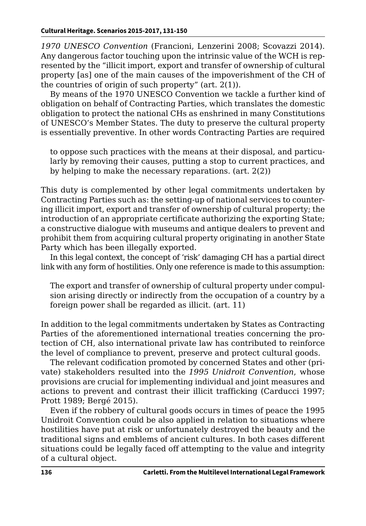*1970 UNESCO Convention* (Francioni, Lenzerini 2008; Scovazzi 2014). Any dangerous factor touching upon the intrinsic value of the WCH is represented by the "illicit import, export and transfer of ownership of cultural property [as] one of the main causes of the impoverishment of the CH of the countries of origin of such property" (art. 2(1)).

By means of the 1970 UNESCO Convention we tackle a further kind of obligation on behalf of Contracting Parties, which translates the domestic obligation to protect the national CHs as enshrined in many Constitutions of UNESCO's Member States. The duty to preserve the cultural property is essentially preventive. In other words Contracting Parties are required

to oppose such practices with the means at their disposal, and particularly by removing their causes, putting a stop to current practices, and by helping to make the necessary reparations. (art. 2(2))

This duty is complemented by other legal commitments undertaken by Contracting Parties such as: the setting-up of national services to countering illicit import, export and transfer of ownership of cultural property; the introduction of an appropriate certificate authorizing the exporting State; a constructive dialogue with museums and antique dealers to prevent and prohibit them from acquiring cultural property originating in another State Party which has been illegally exported.

In this legal context, the concept of 'risk' damaging CH has a partial direct link with any form of hostilities. Only one reference is made to this assumption:

The export and transfer of ownership of cultural property under compulsion arising directly or indirectly from the occupation of a country by a foreign power shall be regarded as illicit. (art. 11)

In addition to the legal commitments undertaken by States as Contracting Parties of the aforementioned international treaties concerning the protection of CH, also international private law has contributed to reinforce the level of compliance to prevent, preserve and protect cultural goods.

The relevant codification promoted by concerned States and other (private) stakeholders resulted into the *1995 Unidroit Convention*, whose provisions are crucial for implementing individual and joint measures and actions to prevent and contrast their illicit trafficking (Carducci 1997; Prott 1989; Bergé 2015).

Even if the robbery of cultural goods occurs in times of peace the 1995 Unidroit Convention could be also applied in relation to situations where hostilities have put at risk or unfortunately destroyed the beauty and the traditional signs and emblems of ancient cultures. In both cases different situations could be legally faced off attempting to the value and integrity of a cultural object.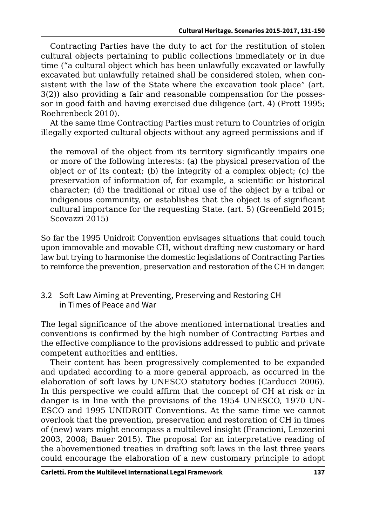Contracting Parties have the duty to act for the restitution of stolen cultural objects pertaining to public collections immediately or in due time ("a cultural object which has been unlawfully excavated or lawfully excavated but unlawfully retained shall be considered stolen, when consistent with the law of the State where the excavation took place" (art. 3(2)) also providing a fair and reasonable compensation for the possessor in good faith and having exercised due diligence (art. 4) (Prott 1995; Roehrenbeck 2010).

At the same time Contracting Parties must return to Countries of origin illegally exported cultural objects without any agreed permissions and if

the removal of the object from its territory significantly impairs one or more of the following interests: (a) the physical preservation of the object or of its context; (b) the integrity of a complex object; (c) the preservation of information of, for example, a scientific or historical character; (d) the traditional or ritual use of the object by a tribal or indigenous community, or establishes that the object is of significant cultural importance for the requesting State. (art. 5) (Greenfield 2015; Scovazzi 2015)

So far the 1995 Unidroit Convention envisages situations that could touch upon immovable and movable CH, without drafting new customary or hard law but trying to harmonise the domestic legislations of Contracting Parties to reinforce the prevention, preservation and restoration of the CH in danger.

#### 3.2 Soft Law Aiming at Preventing, Preserving and Restoring CH in Times of Peace and War

The legal significance of the above mentioned international treaties and conventions is confirmed by the high number of Contracting Parties and the effective compliance to the provisions addressed to public and private competent authorities and entities.

Their content has been progressively complemented to be expanded and updated according to a more general approach, as occurred in the elaboration of soft laws by UNESCO statutory bodies (Carducci 2006). In this perspective we could affirm that the concept of CH at risk or in danger is in line with the provisions of the 1954 UNESCO, 1970 UN-ESCO and 1995 UNIDROIT Conventions. At the same time we cannot overlook that the prevention, preservation and restoration of CH in times of (new) wars might encompass a multilevel insight (Francioni, Lenzerini 2003, 2008; Bauer 2015). The proposal for an interpretative reading of the abovementioned treaties in drafting soft laws in the last three years could encourage the elaboration of a new customary principle to adopt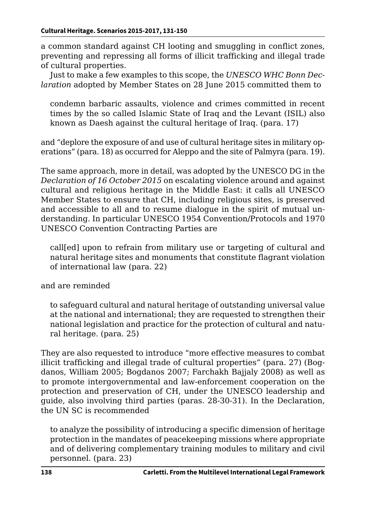a common standard against CH looting and smuggling in conflict zones, preventing and repressing all forms of illicit trafficking and illegal trade of cultural properties.

Just to make a few examples to this scope, the *UNESCO WHC Bonn Declaration* adopted by Member States on 28 June 2015 committed them to

condemn barbaric assaults, violence and crimes committed in recent times by the so called Islamic State of Iraq and the Levant (ISIL) also known as Daesh against the cultural heritage of Iraq. (para. 17)

and "deplore the exposure of and use of cultural heritage sites in military operations" (para. 18) as occurred for Aleppo and the site of Palmyra (para. 19).

The same approach, more in detail, was adopted by the UNESCO DG in the *Declaration of 16 October 2015* on escalating violence around and against cultural and religious heritage in the Middle East: it calls all UNESCO Member States to ensure that CH, including religious sites, is preserved and accessible to all and to resume dialogue in the spirit of mutual understanding. In particular UNESCO 1954 Convention/Protocols and 1970 UNESCO Convention Contracting Parties are

call[ed] upon to refrain from military use or targeting of cultural and natural heritage sites and monuments that constitute flagrant violation of international law (para. 22)

and are reminded

to safeguard cultural and natural heritage of outstanding universal value at the national and international; they are requested to strengthen their national legislation and practice for the protection of cultural and natural heritage. (para. 25)

They are also requested to introduce "more effective measures to combat illicit trafficking and illegal trade of cultural properties" (para. 27) (Bogdanos, William 2005; Bogdanos 2007; Farchakh Bajjaly 2008) as well as to promote intergovernmental and law-enforcement cooperation on the protection and preservation of CH, under the UNESCO leadership and guide, also involving third parties (paras. 28-30-31). In the Declaration, the UN SC is recommended

to analyze the possibility of introducing a specific dimension of heritage protection in the mandates of peacekeeping missions where appropriate and of delivering complementary training modules to military and civil personnel. (para. 23)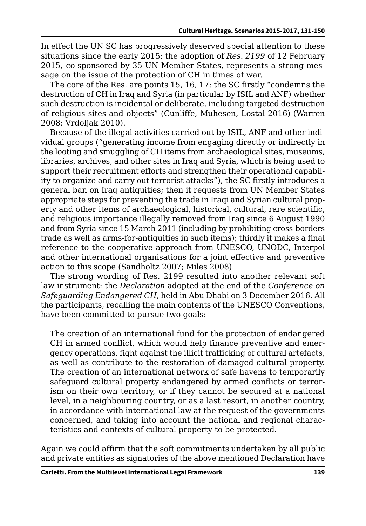In effect the UN SC has progressively deserved special attention to these situations since the early 2015: the adoption of *Res. 2199* of 12 February 2015, co-sponsored by 35 UN Member States, represents a strong message on the issue of the protection of CH in times of war.

The core of the Res. are points 15, 16, 17: the SC firstly "condemns the destruction of CH in Iraq and Syria (in particular by ISIL and ANF) whether such destruction is incidental or deliberate, including targeted destruction of religious sites and objects" (Cunliffe, Muhesen, Lostal 2016) (Warren 2008; Vrdoljak 2010).

Because of the illegal activities carried out by ISIL, ANF and other individual groups ("generating income from engaging directly or indirectly in the looting and smuggling of CH items from archaeological sites, museums, libraries, archives, and other sites in Iraq and Syria, which is being used to support their recruitment efforts and strengthen their operational capability to organize and carry out terrorist attacks"), the SC firstly introduces a general ban on Iraq antiquities; then it requests from UN Member States appropriate steps for preventing the trade in Iraqi and Syrian cultural property and other items of archaeological, historical, cultural, rare scientific, and religious importance illegally removed from Iraq since 6 August 1990 and from Syria since 15 March 2011 (including by prohibiting cross-borders trade as well as arms-for-antiquities in such items); thirdly it makes a final reference to the cooperative approach from UNESCO, UNODC, Interpol and other international organisations for a joint effective and preventive action to this scope (Sandholtz 2007; Miles 2008).

The strong wording of Res. 2199 resulted into another relevant soft law instrument: the *Declaration* adopted at the end of the *Conference on Safeguarding Endangered CH*, held in Abu Dhabi on 3 December 2016. All the participants, recalling the main contents of the UNESCO Conventions, have been committed to pursue two goals:

The creation of an international fund for the protection of endangered CH in armed conflict, which would help finance preventive and emergency operations, fight against the illicit trafficking of cultural artefacts, as well as contribute to the restoration of damaged cultural property. The creation of an international network of safe havens to temporarily safeguard cultural property endangered by armed conflicts or terrorism on their own territory, or if they cannot be secured at a national level, in a neighbouring country, or as a last resort, in another country, in accordance with international law at the request of the governments concerned, and taking into account the national and regional characteristics and contexts of cultural property to be protected.

Again we could affirm that the soft commitments undertaken by all public and private entities as signatories of the above mentioned Declaration have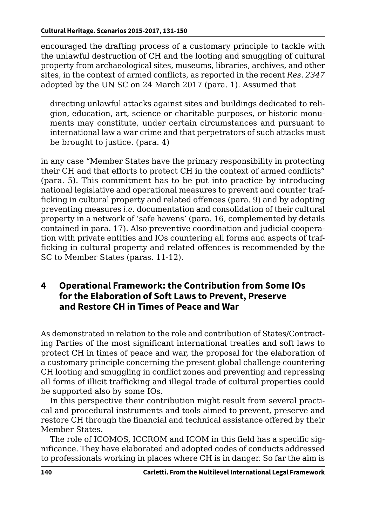encouraged the drafting process of a customary principle to tackle with the unlawful destruction of CH and the looting and smuggling of cultural property from archaeological sites, museums, libraries, archives, and other sites, in the context of armed conflicts, as reported in the recent *Res. 2347* adopted by the UN SC on 24 March 2017 (para. 1). Assumed that

directing unlawful attacks against sites and buildings dedicated to religion, education, art, science or charitable purposes, or historic monuments may constitute, under certain circumstances and pursuant to international law a war crime and that perpetrators of such attacks must be brought to justice. (para. 4)

in any case "Member States have the primary responsibility in protecting their CH and that efforts to protect CH in the context of armed conflicts" (para. 5). This commitment has to be put into practice by introducing national legislative and operational measures to prevent and counter trafficking in cultural property and related offences (para. 9) and by adopting preventing measures *i.e.* documentation and consolidation of their cultural property in a network of 'safe havens' (para. 16, complemented by details contained in para. 17). Also preventive coordination and judicial cooperation with private entities and IOs countering all forms and aspects of trafficking in cultural property and related offences is recommended by the SC to Member States (paras. 11-12).

### **4 Operational Framework: the Contribution from Some IOs for the Elaboration of Soft Laws to Prevent, Preserve and Restore CH in Times of Peace and War**

As demonstrated in relation to the role and contribution of States/Contracting Parties of the most significant international treaties and soft laws to protect CH in times of peace and war, the proposal for the elaboration of a customary principle concerning the present global challenge countering CH looting and smuggling in conflict zones and preventing and repressing all forms of illicit trafficking and illegal trade of cultural properties could be supported also by some IOs.

In this perspective their contribution might result from several practical and procedural instruments and tools aimed to prevent, preserve and restore CH through the financial and technical assistance offered by their Member States.

The role of ICOMOS, ICCROM and ICOM in this field has a specific significance. They have elaborated and adopted codes of conducts addressed to professionals working in places where CH is in danger. So far the aim is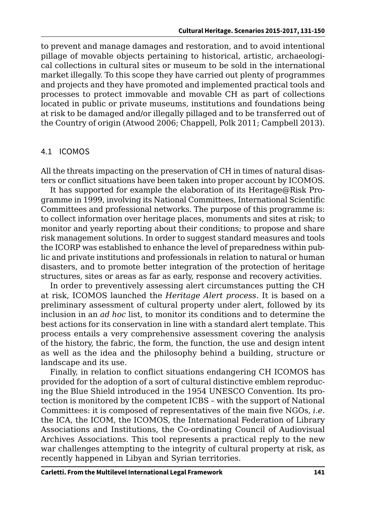to prevent and manage damages and restoration, and to avoid intentional pillage of movable objects pertaining to historical, artistic, archaeological collections in cultural sites or museum to be sold in the international market illegally. To this scope they have carried out plenty of programmes and projects and they have promoted and implemented practical tools and processes to protect immovable and movable CH as part of collections located in public or private museums, institutions and foundations being at risk to be damaged and/or illegally pillaged and to be transferred out of the Country of origin (Atwood 2006; Chappell, Polk 2011; Campbell 2013).

#### 4.1 ICOMOS

All the threats impacting on the preservation of CH in times of natural disasters or conflict situations have been taken into proper account by ICOMOS.

It has supported for example the elaboration of its Heritage@Risk Programme in 1999, involving its National Committees, International Scientific Committees and professional networks. The purpose of this programme is: to collect information over heritage places, monuments and sites at risk; to monitor and yearly reporting about their conditions; to propose and share risk management solutions. In order to suggest standard measures and tools the ICORP was established to enhance the level of preparedness within public and private institutions and professionals in relation to natural or human disasters, and to promote better integration of the protection of heritage structures, sites or areas as far as early, response and recovery activities.

In order to preventively assessing alert circumstances putting the CH at risk, ICOMOS launched the *Heritage Alert process*. It is based on a preliminary assessment of cultural property under alert, followed by its inclusion in an *ad hoc* list, to monitor its conditions and to determine the best actions for its conservation in line with a standard alert template. This process entails a very comprehensive assessment covering the analysis of the history, the fabric, the form, the function, the use and design intent as well as the idea and the philosophy behind a building, structure or landscape and its use.

Finally, in relation to conflict situations endangering CH ICOMOS has provided for the adoption of a sort of cultural distinctive emblem reproducing the Blue Shield introduced in the 1954 UNESCO Convention. Its protection is monitored by the competent ICBS – with the support of National Committees: it is composed of representatives of the main five NGOs, *i.e.* the ICA, the ICOM, the ICOMOS, the International Federation of Library Associations and Institutions, the Co-ordinating Council of Audiovisual Archives Associations. This tool represents a practical reply to the new war challenges attempting to the integrity of cultural property at risk, as recently happened in Libyan and Syrian territories.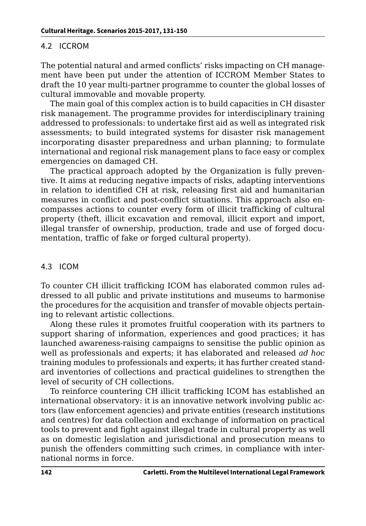#### 4.2 ICCROM

The potential natural and armed conflicts' risks impacting on CH management have been put under the attention of ICCROM Member States to draft the 10 year multi-partner programme to counter the global losses of cultural immovable and movable property.

The main goal of this complex action is to build capacities in CH disaster risk management. The programme provides for interdisciplinary training addressed to professionals: to undertake first aid as well as integrated risk assessments; to build integrated systems for disaster risk management incorporating disaster preparedness and urban planning; to formulate international and regional risk management plans to face easy or complex emergencies on damaged CH.

The practical approach adopted by the Organization is fully preventive. It aims at reducing negative impacts of risks, adapting interventions in relation to identified CH at risk, releasing first aid and humanitarian measures in conflict and post-conflict situations. This approach also encompasses actions to counter every form of illicit trafficking of cultural property (theft, illicit excavation and removal, illicit export and import, illegal transfer of ownership, production, trade and use of forged documentation, traffic of fake or forged cultural property).

#### 4.3 ICOM

To counter CH illicit trafficking ICOM has elaborated common rules addressed to all public and private institutions and museums to harmonise the procedures for the acquisition and transfer of movable objects pertaining to relevant artistic collections.

Along these rules it promotes fruitful cooperation with its partners to support sharing of information, experiences and good practices; it has launched awareness-raising campaigns to sensitise the public opinion as well as professionals and experts; it has elaborated and released *ad hoc*  training modules to professionals and experts; it has further created standard inventories of collections and practical guidelines to strengthen the level of security of CH collections.

To reinforce countering CH illicit trafficking ICOM has established an international observatory: it is an innovative network involving public actors (law enforcement agencies) and private entities (research institutions and centres) for data collection and exchange of information on practical tools to prevent and fight against illegal trade in cultural property as well as on domestic legislation and jurisdictional and prosecution means to punish the offenders committing such crimes, in compliance with international norms in force.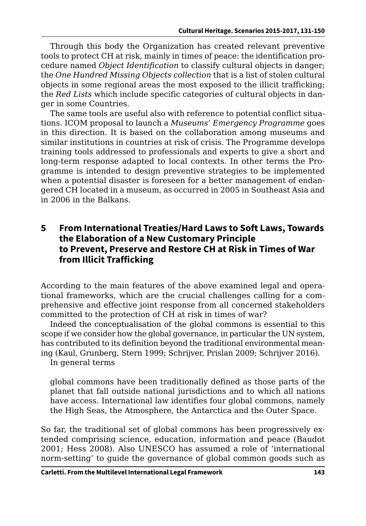Through this body the Organization has created relevant preventive tools to protect CH at risk, mainly in times of peace: the identification procedure named *Object Identification* to classify cultural objects in danger; the *One Hundred Missing Objects collection* that is a list of stolen cultural objects in some regional areas the most exposed to the illicit trafficking; the *Red Lists* which include specific categories of cultural objects in danger in some Countries.

The same tools are useful also with reference to potential conflict situations. ICOM proposal to launch a *Museums' Emergency Programme* goes in this direction. It is based on the collaboration among museums and similar institutions in countries at risk of crisis. The Programme develops training tools addressed to professionals and experts to give a short and long-term response adapted to local contexts. In other terms the Programme is intended to design preventive strategies to be implemented when a potential disaster is foreseen for a better management of endangered CH located in a museum, as occurred in 2005 in Southeast Asia and in 2006 in the Balkans.

### **5 From International Treaties/Hard Laws to Soft Laws, Towards the Elaboration of a New Customary Principle to Prevent, Preserve and Restore CH at Risk in Times of War from Illicit Trafficking**

According to the main features of the above examined legal and operational frameworks, which are the crucial challenges calling for a comprehensive and effective joint response from all concerned stakeholders committed to the protection of CH at risk in times of war?

Indeed the conceptualisation of the global commons is essential to this scope if we consider how the global governance, in particular the UN system, has contributed to its definition beyond the traditional environmental meaning (Kaul, Grunberg, Stern 1999; Schrijver, Prislan 2009; Schrijver 2016).

In general terms

global commons have been traditionally defined as those parts of the planet that fall outside national jurisdictions and to which all nations have access. International law identifies four global commons, namely the High Seas, the Atmosphere, the Antarctica and the Outer Space.

So far, the traditional set of global commons has been progressively extended comprising science, education, information and peace (Baudot 2001; Hess 2008). Also UNESCO has assumed a role of 'international norm-setting' to guide the governance of global common goods such as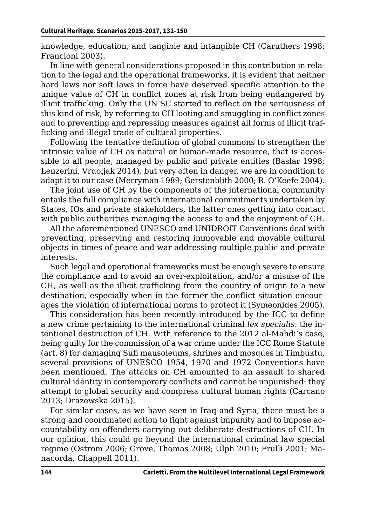knowledge, education, and tangible and intangible CH (Caruthers 1998; Francioni 2003).

In line with general considerations proposed in this contribution in relation to the legal and the operational frameworks, it is evident that neither hard laws nor soft laws in force have deserved specific attention to the unique value of CH in conflict zones at risk from being endangered by illicit trafficking. Only the UN SC started to reflect on the seriousness of this kind of risk, by referring to CH looting and smuggling in conflict zones and to preventing and repressing measures against all forms of illicit trafficking and illegal trade of cultural properties.

Following the tentative definition of global commons to strengthen the intrinsic value of CH as natural or human-made resource, that is accessible to all people, managed by public and private entities (Baslar 1998; Lenzerini, Vrdoljak 2014), but very often in danger, we are in condition to adapt it to our case (Merryman 1989; Gerstenblith 2000; R. O'Keefe 2004).

The joint use of CH by the components of the international community entails the full compliance with international commitments undertaken by States, IOs and private stakeholders, the latter ones getting into contact with public authorities managing the access to and the enjoyment of CH.

All the aforementioned UNESCO and UNIDROIT Conventions deal with preventing, preserving and restoring immovable and movable cultural objects in times of peace and war addressing multiple public and private interests.

Such legal and operational frameworks must be enough severe to ensure the compliance and to avoid an over-exploitation, and/or a misuse of the CH, as well as the illicit trafficking from the country of origin to a new destination, especially when in the former the conflict situation encourages the violation of international norms to protect it (Symeonides 2005).

This consideration has been recently introduced by the ICC to define a new crime pertaining to the international criminal *lex specialis*: the intentional destruction of CH. With reference to the 2012 al-Mahdi's case, being guilty for the commission of a war crime under the ICC Rome Statute (art. 8) for damaging Sufi mausoleums, shrines and mosques in Timbuktu, several provisions of UNESCO 1954, 1970 and 1972 Conventions have been mentioned. The attacks on CH amounted to an assault to shared cultural identity in contemporary conflicts and cannot be unpunished: they attempt to global security and compress cultural human rights (Carcano 2013; Drazewska 2015).

For similar cases, as we have seen in Iraq and Syria, there must be a strong and coordinated action to fight against impunity and to impose accountability on offenders carrying out deliberate destructions of CH. In our opinion, this could go beyond the international criminal law special regime (Ostrom 2006; Grove, Thomas 2008; Ulph 2010; Frulli 2001; Manacorda, Chappell 2011).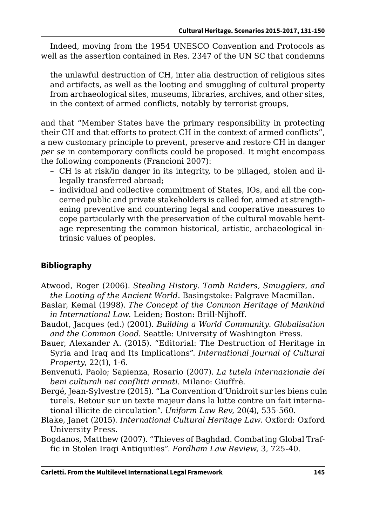Indeed, moving from the 1954 UNESCO Convention and Protocols as well as the assertion contained in Res. 2347 of the UN SC that condemns

the unlawful destruction of CH, inter alia destruction of religious sites and artifacts, as well as the looting and smuggling of cultural property from archaeological sites, museums, libraries, archives, and other sites, in the context of armed conflicts, notably by terrorist groups,

and that "Member States have the primary responsibility in protecting their CH and that efforts to protect CH in the context of armed conflicts", a new customary principle to prevent, preserve and restore CH in danger *per se* in contemporary conflicts could be proposed. It might encompass the following components (Francioni 2007):

- CH is at risk/in danger in its integrity, to be pillaged, stolen and illegally transferred abroad;
- individual and collective commitment of States, IOs, and all the concerned public and private stakeholders is called for, aimed at strengthening preventive and countering legal and cooperative measures to cope particularly with the preservation of the cultural movable heritage representing the common historical, artistic, archaeological intrinsic values of peoples.

### **Bibliography**

- Atwood, Roger (2006). *Stealing History. Tomb Raiders, Smugglers, and the Looting of the Ancient World*. Basingstoke: Palgrave Macmillan.
- Baslar, Kemal (1998). *The Concept of the Common Heritage of Mankind in International Law*. Leiden; Boston: Brill-Nijhoff.
- Baudot, Jacques (ed.) (2001). *Building a World Community. Globalisation and the Common Good*. Seattle: University of Washington Press.
- Bauer, Alexander A. (2015). "Editorial: The Destruction of Heritage in Syria and Iraq and Its Implications". *International Journal of Cultural Property*, 22(1), 1-6.
- Benvenuti, Paolo; Sapienza, Rosario (2007). *La tutela internazionale dei beni culturali nei conflitti armati*. Milano: Giuffrè.
- Bergé, Jean-Sylvestre (2015). "La Convention d'Unidroit sur les biens culn turels. Retour sur un texte majeur dans la lutte contre un fait international illicite de circulation". *Uniform Law Rev*, 20(4), 535-560.
- Blake, Janet (2015). *International Cultural Heritage Law*. Oxford: Oxford University Press.
- Bogdanos, Matthew (2007). "Thieves of Baghdad. Combating Global Traffic in Stolen Iraqi Antiquities". *Fordham Law Review*, 3, 725-40.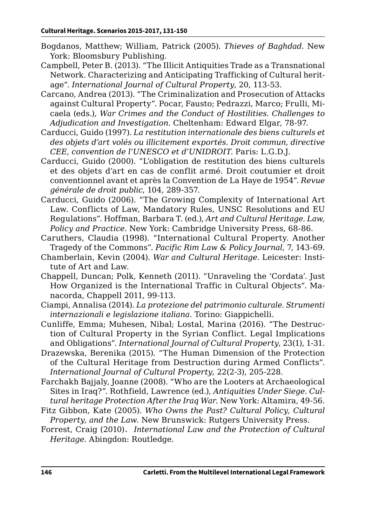- Bogdanos, Matthew; William, Patrick (2005). *Thieves of Baghdad*. New York: Bloomsbury Publishing.
- Campbell, Peter B. (2013). "The Illicit Antiquities Trade as a Transnational Network. Characterizing and Anticipating Trafficking of Cultural heritage". *International Journal of Cultural Property*, 20, 113-53.
- Carcano, Andrea (2013). "The Criminalization and Prosecution of Attacks against Cultural Property". Pocar, Fausto; Pedrazzi, Marco; Frulli, Micaela (eds.), *War Crimes and the Conduct of Hostilities. Challenges to Adjudication and Investigation*. Cheltenham: Edward Elgar, 78-97.
- Carducci, Guido (1997). *La restitution internationale des biens culturels et des objets d'art volés ou illicitement exportés. Droit commun, directive CEE, convention de l'UNESCO et d'UNIDROIT*. Paris: L.G.D.J.
- Carducci, Guido (2000). "L'obligation de restitution des biens culturels et des objets d'art en cas de conflit armé. Droit coutumier et droit conventionnel avant et après la Convention de La Haye de 1954". *Revue générale de droit public*, 104, 289-357.
- Carducci, Guido (2006). "The Growing Complexity of International Art Law. Conflicts of Law, Mandatory Rules, UNSC Resolutions and EU Regulations". Hoffman, Barbara T. (ed.), *Art and Cultural Heritage. Law, Policy and Practice*. New York: Cambridge University Press, 68-86.
- Caruthers, Claudia (1998). "International Cultural Property. Another Tragedy of the Commons". *Pacific Rim Law & Policy Journal*, 7, 143-69.
- Chamberlain, Kevin (2004). *War and Cultural Heritage*. Leicester: Institute of Art and Law.
- Chappell, Duncan; Polk, Kenneth (2011). "Unraveling the 'Cordata'. Just How Organized is the International Traffic in Cultural Objects". Manacorda, Chappell 2011, 99-113.
- Ciampi, Annalisa (2014). *La protezione del patrimonio culturale. Strumenti internazionali e legislazione italiana*. Torino: Giappichelli.
- Cunliffe, Emma; Muhesen, Nibal; Lostal, Marina (2016). "The Destruction of Cultural Property in the Syrian Conflict. Legal Implications and Obligations". *International Journal of Cultural Property*, 23(1), 1-31.
- Drazewska, Berenika (2015). "The Human Dimension of the Protection of the Cultural Heritage from Destruction during Armed Conflicts". *International Journal of Cultural Property*, 22(2-3), 205-228.
- Farchakh Bajjaly, Joanne (2008). "Who are the Looters at Archaeological Sites in Iraq?". Rothfield, Lawrence (ed.), *Antiquities Under Siege. Cultural heritage Protection After the Iraq War*. New York: Altamira, 49-56.
- Fitz Gibbon, Kate (2005). *Who Owns the Past? Cultural Policy, Cultural Property, and the Law*. New Brunswick: Rutgers University Press.
- Forrest, Craig (2010). *International Law and the Protection of Cultural Heritage*. Abingdon: Routledge.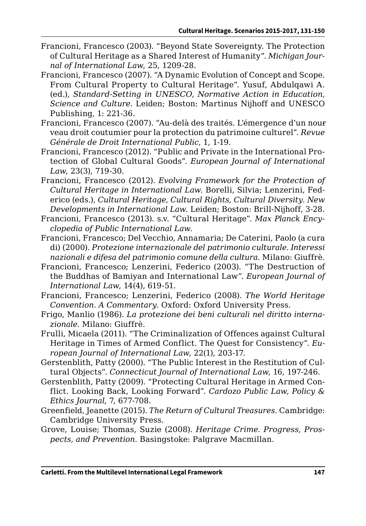- Francioni, Francesco (2003). "Beyond State Sovereignty. The Protection of Cultural Heritage as a Shared Interest of Humanity". *Michigan Journal of International Law*, 25, 1209-28.
- Francioni, Francesco (2007). "A Dynamic Evolution of Concept and Scope. From Cultural Property to Cultural Heritage". Yusuf, Abdulqawi A. (ed.), *Standard-Setting in UNESCO, Normative Action in Education, Science and Culture*. Leiden; Boston: Martinus Nijhoff and UNESCO Publishing, 1: 221-36.
- Francioni, Francesco (2007). "Au-delà des traités. L'émergence d'un nourveau droit coutumier pour la protection du patrimoine culturel". *Revue Générale de Droit International Public*, 1, 1-19.
- Francioni, Francesco (2012). "Public and Private in the International Protection of Global Cultural Goods". *European Journal of International Law*, 23(3), 719-30.
- Francioni, Francesco (2012). *Evolving Framework for the Protection of Cultural Heritage in International Law*. Borelli, Silvia; Lenzerini, Federico (eds.), *Cultural Heritage, Cultural Rights, Cultural Diversity. New Developments in International Law*. Leiden; Boston: Brill-Nijhoff, 3-28.
- Francioni, Francesco (2013). s.v. "Cultural Heritage". *Max Planck Encyclopedia of Public International Law*.
- Francioni, Francesco; Del Vecchio, Annamaria; De Caterini, Paolo (a cura di) (2000). *Protezione internazionale del patrimonio culturale. Interessi nazionali e difesa del patrimonio comune della cultura*. Milano: Giuffrè.
- Francioni, Francesco; Lenzerini, Federico (2003). "The Destruction of the Buddhas of Bamiyan and International Law*"*. *European Journal of International Law*, 14(4), 619-51.
- Francioni, Francesco; Lenzerini, Federico (2008). *The World Heritage Convention. A Commentary*. Oxford: Oxford University Press.
- Frigo, Manlio (1986). *La protezione dei beni culturali nel diritto internazionale*. Milano: Giuffrè.
- Frulli, Micaela (2011). "The Criminalization of Offences against Cultural Heritage in Times of Armed Conflict. The Quest for Consistency". *European Journal of International Law*, 22(1), 203-17.
- Gerstenblith, Patty (2000). "The Public Interest in the Restitution of Cultural Objects". *Connecticut Journal of International Law*, 16, 197-246.
- Gerstenblith, Patty (2009). "Protecting Cultural Heritage in Armed Conflict. Looking Back, Looking Forward". *Cardozo Public Law, Policy & Ethics Journal*, 7, 677-708.
- Greenfield, Jeanette (2015). *The Return of Cultural Treasures*. Cambridge: Cambridge University Press.
- Grove, Louise; Thomas, Suzie (2008). *Heritage Crime. Progress, Prospects, and Prevention*. Basingstoke: Palgrave Macmillan.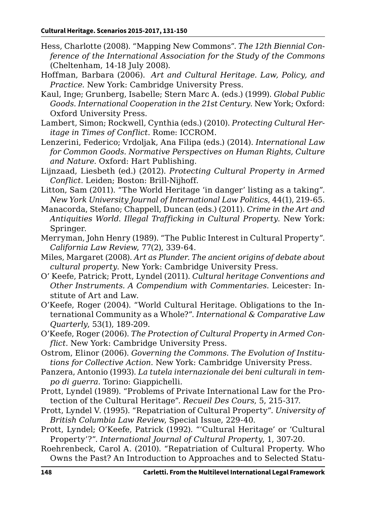- Hess, Charlotte (2008). "Mapping New Commons". *The 12th Biennial Conference of the International Association for the Study of the Commons* (Cheltenham, 14-18 July 2008).
- Hoffman, Barbara (2006). *Art and Cultural Heritage. Law, Policy, and Practice*. New York: Cambridge University Press.
- Kaul, Inge; Grunberg, Isabelle; Stern Marc A. (eds.) (1999). *Global Public Goods. International Cooperation in the 21st Century*. New York; Oxford: Oxford University Press.
- Lambert, Simon; Rockwell, Cynthia (eds.) (2010). *Protecting Cultural Heritage in Times of Conflict*. Rome: ICCROM.
- Lenzerini, Federico; Vrdoljak, Ana Filipa (eds.) (2014). *International Law for Common Goods. Normative Perspectives on Human Rights, Culture and Nature*. Oxford: Hart Publishing.
- Lijnzaad, Liesbeth (ed.) (2012). *Protecting Cultural Property in Armed Conflict*. Leiden; Boston: Brill-Nijhoff.
- Litton, Sam (2011). "The World Heritage 'in danger' listing as a taking". *New York University Journal of International Law Politics*, 44(1), 219-65.
- Manacorda, Stefano; Chappell, Duncan (eds.) (2011). *Crime in the Art and Antiquities World. Illegal Trafficking in Cultural Property*. New York: Springer.
- Merryman, John Henry (1989). "The Public Interest in Cultural Property". *California Law Review*, 77(2), 339-64.
- Miles, Margaret (2008). *Art as Plunder. The ancient origins of debate about cultural property*. New York: Cambridge University Press.
- O' Keefe, Patrick; Prott, Lyndel (2011). *Cultural heritage Conventions and Other Instruments. A Compendium with Commentaries*. Leicester: Institute of Art and Law.
- O'Keefe, Roger (2004). "World Cultural Heritage. Obligations to the International Community as a Whole?". *International & Comparative Law Quarterly*, 53(1), 189-209.
- O'Keefe, Roger (2006). *The Protection of Cultural Property in Armed Conflict*. New York: Cambridge University Press.
- Ostrom, Elinor (2006). *Governing the Commons. The Evolution of Institutions for Collective Action*. New York: Cambridge University Press.
- Panzera, Antonio (1993). *La tutela internazionale dei beni culturali in tempo di guerra*. Torino: Giappichelli.
- Prott, Lyndel (1989). "Problems of Private International Law for the Protection of the Cultural Heritage". *Recueil Des Cours*, 5, 215-317.
- Prott, Lyndel V. (1995). "Repatriation of Cultural Property". *University of British Columbia Law Review*, Special Issue, 229-40.
- Prott, Lyndel; O'Keefe, Patrick (1992). "'Cultural Heritage' or 'Cultural Property'?". *International Journal of Cultural Property*, 1, 307-20.
- Roehrenbeck, Carol A. (2010). "Repatriation of Cultural Property. Who Owns the Past? An Introduction to Approaches and to Selected Statu-